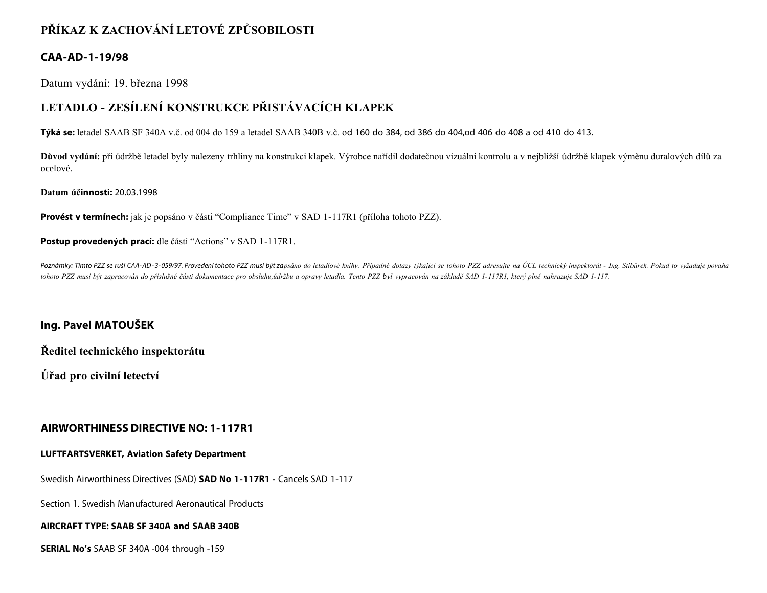## **PŘÍKAZ K ZACHOVÁNÍ LETOVÉ ZPŮSOBILOSTI**

## **CAA-AD-1-19/98**

Datum vydání: 19. března 1998

# **LETADLO - ZESÍLENÍ KONSTRUKCE PŘISTÁVACÍCH KLAPEK**

**Týká se:** letadel SAAB SF 340A v.č. od 004 do 159 a letadel SAAB 340B v.č. od 160 do 384, od 386 do 404,od 406 do 408 a od 410 do 413.

**Důvod vydání:** při údržbě letadel byly nalezeny trhliny na konstrukci klapek. Výrobce nařídil dodatečnou vizuální kontrolu a v nejbližší údržbě klapek výměnu duralových dílů za ocelové.

**Datum účinnosti:** 20.03.1998

**Provést v termínech:** jak je popsáno v části "Compliance Time" v SAD 1-117R1 (příloha tohoto PZZ).

Postup provedených prací: dle části "Actions" v SAD 1-117R1.

Poznámky: Tímto PZZ se ruší CAA-AD-3-059/97. Provedení tohoto PZZ musí být zapsáno do letadlové knihy. Případné dotazy týkající se tohoto PZZ adresujte na ÚCL technický inspektorát - Ing. Stibůrek. Pokud to vyžaduje povaha *tohoto PZZ musí být zapracován do příslušné části dokumentace pro obsluhu,údržbu a opravy letadla. Tento PZZ byl vypracován na základě SAD 1-117R1, který plně nahrazuje SAD 1-117.*

## **Ing. Pavel MATOUŠEK**

**Ředitel technického inspektorátu**

**Úřad pro civilní letectví**

### **AIRWORTHINESS DIRECTIVE NO: 1-117R1**

### **LUFTFARTSVERKET, Aviation Safety Department**

Swedish Airworthiness Directives (SAD) **SAD No 1-117R1 -** Cancels SAD 1-117

Section 1. Swedish Manufactured Aeronautical Products

### **AIRCRAFT TYPE: SAAB SF 340A and SAAB 340B**

**SERIAL No's** SAAB SF 340A -004 through -159